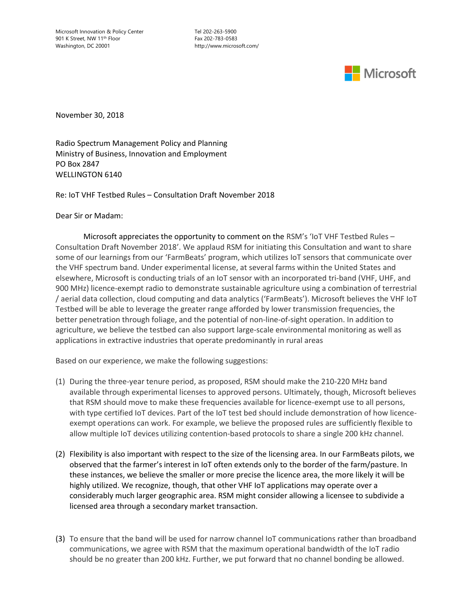Microsoft Innovation & Policy Center Tel 202-263-5900 901 K Street, NW 11<sup>th</sup> Floor Fax 202-783-0583 Washington, DC 20001 http://www.microsoft.com/



November 30, 2018

Radio Spectrum Management Policy and Planning Ministry of Business, Innovation and Employment PO Box 2847 WELLINGTON 6140

Re: IoT VHF Testbed Rules – Consultation Draft November 2018

Dear Sir or Madam:

Microsoft appreciates the opportunity to comment on the RSM's 'IoT VHF Testbed Rules -Consultation Draft November 2018'. We applaud RSM for initiating this Consultation and want to share some of our learnings from our 'FarmBeats' program, which utilizes IoT sensors that communicate over the VHF spectrum band. Under experimental license, at several farms within the United States and elsewhere, Microsoft is conducting trials of an IoT sensor with an incorporated tri-band (VHF, UHF, and 900 MHz) licence-exempt radio to demonstrate sustainable agriculture using a combination of terrestrial / aerial data collection, cloud computing and data analytics ('FarmBeats'). Microsoft believes the VHF IoT Testbed will be able to leverage the greater range afforded by lower transmission frequencies, the better penetration through foliage, and the potential of non-line-of-sight operation. In addition to agriculture, we believe the testbed can also support large-scale environmental monitoring as well as applications in extractive industries that operate predominantly in rural areas

Based on our experience, we make the following suggestions:

- (1) During the three-year tenure period, as proposed, RSM should make the 210-220 MHz band available through experimental licenses to approved persons. Ultimately, though, Microsoft believes that RSM should move to make these frequencies available for licence-exempt use to all persons, with type certified IoT devices. Part of the IoT test bed should include demonstration of how licenceexempt operations can work. For example, we believe the proposed rules are sufficiently flexible to allow multiple IoT devices utilizing contention-based protocols to share a single 200 kHz channel.
- (2) Flexibility is also important with respect to the size of the licensing area. In our FarmBeats pilots, we observed that the farmer's interest in IoT often extends only to the border of the farm/pasture. In these instances, we believe the smaller or more precise the licence area, the more likely it will be highly utilized. We recognize, though, that other VHF IoT applications may operate over a considerably much larger geographic area. RSM might consider allowing a licensee to subdivide a licensed area through a secondary market transaction.
- (3) To ensure that the band will be used for narrow channel IoT communications rather than broadband communications, we agree with RSM that the maximum operational bandwidth of the IoT radio should be no greater than 200 kHz. Further, we put forward that no channel bonding be allowed.